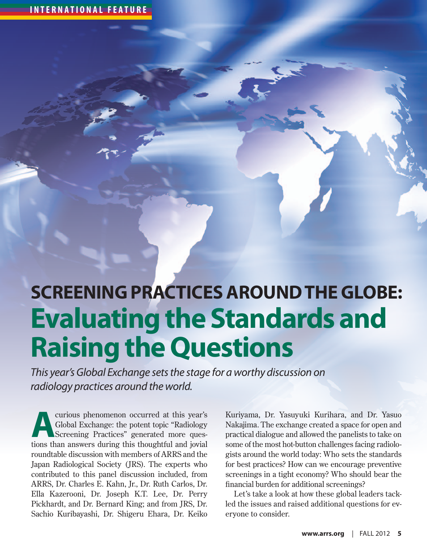# **Screening Practices Around the Globe: Evaluating the Standards and Raising the Questions**

*This year's Global Exchange sets the stage for a worthy discussion on radiology practices around the world.* 

curious phenomenon occurred at this year's<br>Global Exchange: the potent topic "Radiology<br>Screening Practices" generated more ques-<br>tions than answers during this thoughtful and isvial Global Exchange: the potent topic "Radiology Screening Practices" generated more questions than answers during this thoughtful and jovial roundtable discussion with members of ARRS and the Japan Radiological Society (JRS). The experts who contributed to this panel discussion included, from ARRS, Dr. Charles E. Kahn, Jr., Dr. Ruth Carlos, Dr. Ella Kazerooni, Dr. Joseph K.T. Lee, Dr. Perry Pickhardt, and Dr. Bernard King; and from JRS, Dr. Sachio Kuribayashi, Dr. Shigeru Ehara, Dr. Keiko

Kuriyama, Dr. Yasuyuki Kurihara, and Dr. Yasuo Nakajima. The exchange created a space for open and practical dialogue and allowed the panelists to take on some of the most hot-button challenges facing radiologists around the world today: Who sets the standards for best practices? How can we encourage preventive screenings in a tight economy? Who should bear the financial burden for additional screenings?

Let's take a look at how these global leaders tackled the issues and raised additional questions for everyone to consider.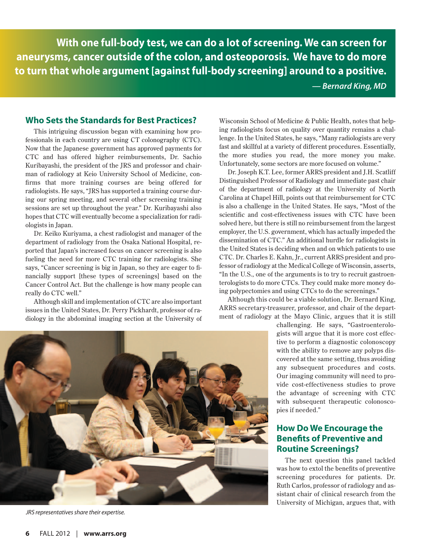**With one full-body test, we can do a lot of screening. We can screen for aneurysms, cancer outside of the colon, and osteoporosis. We have to do more to turn that whole argument [against full-body screening] around to a positive.**

*— Bernard King, MD*

#### **Who Sets the Standards for Best Practices?**

This intriguing discussion began with examining how professionals in each country are using CT colonography (CTC). Now that the Japanese government has approved payments for CTC and has offered higher reimbursements, Dr. Sachio Kuribayashi, the president of the JRS and professor and chairman of radiology at Keio University School of Medicine, confirms that more training courses are being offered for radiologists. He says, "JRS has supported a training course during our spring meeting, and several other screening training sessions are set up throughout the year." Dr. Kuribayashi also hopes that CTC will eventually become a specialization for radiologists in Japan.

Dr. Keiko Kuriyama, a chest radiologist and manager of the department of radiology from the Osaka National Hospital, reported that Japan's increased focus on cancer screening is also fueling the need for more CTC training for radiologists. She says, "Cancer screening is big in Japan, so they are eager to financially support [these types of screenings] based on the Cancer Control Act. But the challenge is how many people can really do CTC well."

Although skill and implementation of CTC are also important issues in the United States, Dr. Perry Pickhardt, professor of radiology in the abdominal imaging section at the University of Wisconsin School of Medicine & Public Health, notes that helping radiologists focus on quality over quantity remains a challenge. In the United States, he says, "Many radiologists are very fast and skillful at a variety of different procedures. Essentially, the more studies you read, the more money you make. Unfortunately, some sectors are more focused on volume."

Dr. Joseph K.T. Lee, former ARRS president and J.H. Scatliff Distinguished Professor of Radiology and immediate past chair of the department of radiology at the University of North Carolina at Chapel Hill, points out that reimbursement for CTC is also a challenge in the United States. He says, "Most of the scientific and cost-effectiveness issues with CTC have been solved here, but there is still no reimbursement from the largest employer, the U.S. government, which has actually impeded the dissemination of CTC." An additional hurdle for radiologists in the United States is deciding when and on which patients to use CTC. Dr. Charles E. Kahn, Jr., current ARRS president and professor of radiology at the Medical College of Wisconsin, asserts, "In the U.S., one of the arguments is to try to recruit gastroenterologists to do more CTCs. They could make more money doing polypectomies and using CTCs to do the screenings."

Although this could be a viable solution, Dr. Bernard King, ARRS secretary-treasurer, professor, and chair of the department of radiology at the Mayo Clinic, argues that it is still



*JRS representatives share their expertise.* 

challenging. He says, "Gastroenterologists will argue that it is more cost effective to perform a diagnostic colonoscopy with the ability to remove any polyps discovered at the same setting, thus avoiding any subsequent procedures and costs. Our imaging community will need to provide cost-effectiveness studies to prove the advantage of screening with CTC with subsequent therapeutic colonoscopies if needed."

## **How Do We Encourage the Benefits of Preventive and Routine Screenings?**

The next question this panel tackled was how to extol the benefits of preventive screening procedures for patients. Dr. Ruth Carlos, professor of radiology and assistant chair of clinical research from the University of Michigan, argues that, with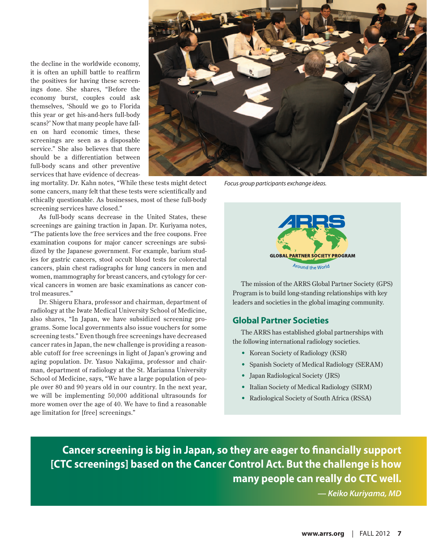the decline in the worldwide economy, it is often an uphill battle to reaffirm the positives for having these screenings done. She shares, "Before the economy burst, couples could ask themselves, 'Should we go to Florida this year or get his-and-hers full-body scans?' Now that many people have fallen on hard economic times, these screenings are seen as a disposable service." She also believes that there should be a differentiation between full-body scans and other preventive services that have evidence of decreas-



*Focus group participants exchange ideas.*

ing mortality. Dr. Kahn notes, "While these tests might detect some cancers, many felt that these tests were scientifically and ethically questionable. As businesses, most of these full-body screening services have closed."

As full-body scans decrease in the United States, these screenings are gaining traction in Japan. Dr. Kuriyama notes, "The patients love the free services and the free coupons. Free examination coupons for major cancer screenings are subsidized by the Japanese government. For example, barium studies for gastric cancers, stool occult blood tests for colorectal cancers, plain chest radiographs for lung cancers in men and women, mammography for breast cancers, and cytology for cervical cancers in women are basic examinations as cancer control measures."

Dr. Shigeru Ehara, professor and chairman, department of radiology at the Iwate Medical University School of Medicine, also shares, "In Japan, we have subsidized screening programs. Some local governments also issue vouchers for some screening tests." Even though free screenings have decreased cancer rates in Japan, the new challenge is providing a reasonable cutoff for free screenings in light of Japan's growing and aging population. Dr. Yasuo Nakajima, professor and chairman, department of radiology at the St. Marianna University School of Medicine, says, "We have a large population of people over 80 and 90 years old in our country. In the next year, we will be implementing 50,000 additional ultrasounds for more women over the age of 40. We have to find a reasonable age limitation for [free] screenings."



The mission of the ARRS Global Partner Society (GPS) Program is to build long-standing relationships with key leaders and societies in the global imaging community.

## **Global Partner Societies**

The ARRS has established global partnerships with the following international radiology societies.

- Korean Society of Radiology (KSR)
- Spanish Society of Medical Radiology (SERAM)
- Japan Radiological Society (JRS)
- Italian Society of Medical Radiology (SIRM)
- Radiological Society of South Africa (RSSA)

**Cancer screening is big in Japan, so they are eager to financially support [CTC screenings] based on the Cancer Control Act. But the challenge is how many people can really do CTC well.**

*— Keiko Kuriyama, MD*